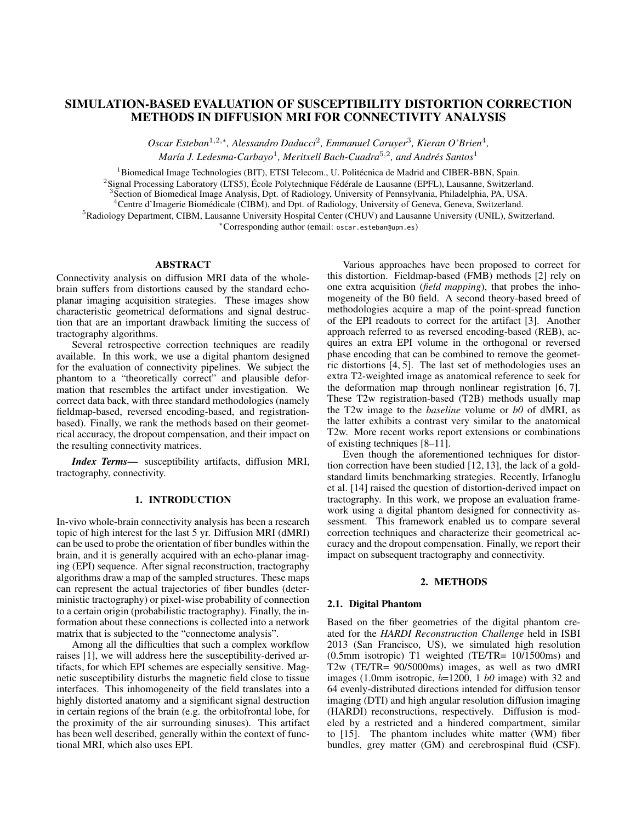# SIMULATION-BASED EVALUATION OF SUSCEPTIBILITY DISTORTION CORRECTION **METHODS IN DIFFUSION MRI FOR CONNECTIVITY ANALYSIS**

Oscar Esteban<sup>1,2,\*</sup>, Alessandro Daducci<sup>2</sup>, Emmanuel Caruyer<sup>3</sup>, Kieran O'Brien<sup>4</sup>, María J. Ledesma-Carbayo<sup>1</sup>, Meritxell Bach-Cuadra<sup>5,2</sup>, and Andrés Santos<sup>1</sup>

<sup>1</sup>Biomedical Image Technologies (BIT), ETSI Telecom., U. Politécnica de Madrid and CIBER-BBN, Spain.

<sup>2</sup>Signal Processing Laboratory (LTS5), École Polytechnique Fédérale de Lausanne (EPFL), Lausanne, Switzerland.

<sup>3</sup> Section of Biomedical Image Analysis, Dpt. of Radiology, University of Pennsylvania, Philadelphia, PA, USA.

<sup>4</sup>Centre d'Imagerie Biomédicale (CIBM), and Dpt. of Radiology, University of Geneva, Geneva, Switzerland.

<sup>5</sup>Radiology Department, CIBM, Lausanne University Hospital Center (CHUV) and Lausanne University (UNIL), Switzerland.

\*Corresponding author (email: oscar.esteban@upm.es)

#### **ABSTRACT**

Connectivity analysis on diffusion MRI data of the wholebrain suffers from distortions caused by the standard echoplanar imaging acquisition strategies. These images show characteristic geometrical deformations and signal destruction that are an important drawback limiting the success of tractography algorithms.

Several retrospective correction techniques are readily available. In this work, we use a digital phantom designed for the evaluation of connectivity pipelines. We subject the phantom to a "theoretically correct" and plausible deformation that resembles the artifact under investigation. We correct data back, with three standard methodologies (namely fieldmap-based, reversed encoding-based, and registrationbased). Finally, we rank the methods based on their geometrical accuracy, the dropout compensation, and their impact on the resulting connectivity matrices.

Index Terms- susceptibility artifacts, diffusion MRI, tractography, connectivity.

## 1. INTRODUCTION

In-vivo whole-brain connectivity analysis has been a research topic of high interest for the last 5 yr. Diffusion MRI (dMRI) can be used to probe the orientation of fiber bundles within the brain, and it is generally acquired with an echo-planar imaging (EPI) sequence. After signal reconstruction, tractography algorithms draw a map of the sampled structures. These maps can represent the actual trajectories of fiber bundles (deterministic tractography) or pixel-wise probability of connection to a certain origin (probabilistic tractography). Finally, the information about these connections is collected into a network matrix that is subjected to the "connectome analysis".

Among all the difficulties that such a complex workflow raises [1], we will address here the susceptibility-derived artifacts, for which EPI schemes are especially sensitive. Magnetic susceptibility disturbs the magnetic field close to tissue interfaces. This inhomogeneity of the field translates into a highly distorted anatomy and a significant signal destruction in certain regions of the brain (e.g. the orbitofrontal lobe, for the proximity of the air surrounding sinuses). This artifact has been well described, generally within the context of functional MRI, which also uses EPI.

Various approaches have been proposed to correct for this distortion. Fieldmap-based (FMB) methods [2] rely on one extra acquisition (field mapping), that probes the inhomogeneity of the B0 field. A second theory-based breed of methodologies acquire a map of the point-spread function of the EPI readouts to correct for the artifact [3]. Another approach referred to as reversed encoding-based (REB), acquires an extra EPI volume in the orthogonal or reversed phase encoding that can be combined to remove the geometric distortions  $[4, 5]$ . The last set of methodologies uses an extra T2-weighted image as anatomical reference to seek for the deformation map through nonlinear registration [6, 7]. These T2w registration-based (T2B) methods usually map the T2w image to the *baseline* volume or  $b0$  of dMRI, as the latter exhibits a contrast very similar to the anatomical T2w. More recent works report extensions or combinations of existing techniques  $[8-11]$ .

Even though the aforementioned techniques for distortion correction have been studied [12, 13], the lack of a goldstandard limits benchmarking strategies. Recently, Irfanoglu et al. [14] raised the question of distortion-derived impact on tractography. In this work, we propose an evaluation framework using a digital phantom designed for connectivity assessment. This framework enabled us to compare several correction techniques and characterize their geometrical accuracy and the dropout compensation. Finally, we report their impact on subsequent tractography and connectivity.

## 2. METHODS

#### 2.1. Digital Phantom

Based on the fiber geometries of the digital phantom created for the HARDI Reconstruction Challenge held in ISBI 2013 (San Francisco, US), we simulated high resolution (0.5mm isotropic) T1 weighted (TE/TR= 10/1500ms) and T2w (TE/TR= 90/5000ms) images, as well as two dMRI images (1.0mm isotropic,  $b=1200$ , 1  $b0$  image) with 32 and 64 evenly-distributed directions intended for diffusion tensor imaging (DTI) and high angular resolution diffusion imaging (HARDI) reconstructions, respectively. Diffusion is modeled by a restricted and a hindered compartment, similar to [15]. The phantom includes white matter (WM) fiber bundles, grey matter (GM) and cerebrospinal fluid (CSF).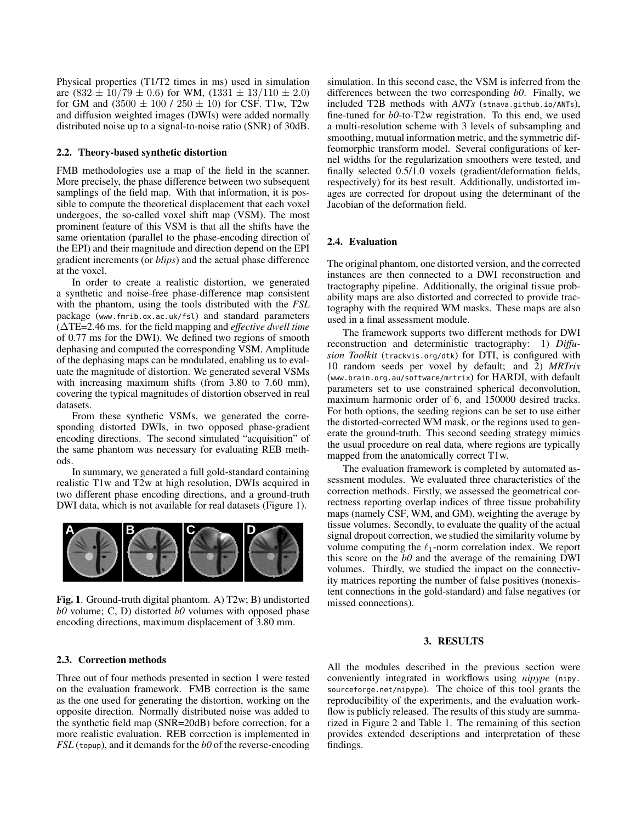Physical properties (T1/T2 times in ms) used in simulation are  $(832 \pm 10/79 \pm 0.6)$  for WM,  $(1331 \pm 13/110 \pm 2.0)$ for GM and  $(3500 \pm 100 / 250 \pm 10)$  for CSF. T1w, T2w and diffusion weighted images (DWIs) were added normally distributed noise up to a signal-to-noise ratio (SNR) of 30dB.

### 2.2. Theory-based synthetic distortion

FMB methodologies use a map of the field in the scanner. More precisely, the phase difference between two subsequent samplings of the field map. With that information, it is possible to compute the theoretical displacement that each voxel undergoes, the so-called voxel shift map (VSM). The most prominent feature of this VSM is that all the shifts have the same orientation (parallel to the phase-encoding direction of the EPI) and their magnitude and direction depend on the EPI gradient increments (or *blips*) and the actual phase difference at the voxel.

In order to create a realistic distortion, we generated a synthetic and noise-free phase-difference map consistent with the phantom, using the tools distributed with the FSL package (www.fmrib.ox.ac.uk/fsl) and standard parameters  $\hat{A}$ TE=2.46 ms. for the field mapping and *effective dwell time* of 0.77 ms for the DWI). We defined two regions of smooth dephasing and computed the corresponding VSM. Amplitude of the dephasing maps can be modulated, enabling us to evaluate the magnitude of distortion. We generated several VSMs with increasing maximum shifts (from 3.80 to 7.60 mm), covering the typical magnitudes of distortion observed in real datasets.

From these synthetic VSMs, we generated the corresponding distorted DWIs, in two opposed phase-gradient encoding directions. The second simulated "acquisition" of the same phantom was necessary for evaluating REB methods.

In summary, we generated a full gold-standard containing realistic T1w and T2w at high resolution, DWIs acquired in two different phase encoding directions, and a ground-truth DWI data, which is not available for real datasets (Figure 1).



Fig. 1. Ground-truth digital phantom. A)  $T2w$ ; B) undistorted  $b0$  volume; C, D) distorted  $b0$  volumes with opposed phase encoding directions, maximum displacement of 3.80 mm.

#### 2.3. Correction methods

Three out of four methods presented in section 1 were tested on the evaluation framework. FMB correction is the same as the one used for generating the distortion, working on the opposite direction. Normally distributed noise was added to the synthetic field map (SNR=20dB) before correction, for a more realistic evaluation. REB correction is implemented in  $FSL$  (topup), and it demands for the b0 of the reverse-encoding simulation. In this second case, the VSM is inferred from the differences between the two corresponding  $b0$ . Finally, we included T2B methods with ANTs (stnava.github.io/ANTs), fine-tuned for  $b0$ -to-T2w registration. To this end, we used a multi-resolution scheme with 3 levels of subsampling and smoothing, mutual information metric, and the symmetric diffeomorphic transform model. Several configurations of kernel widths for the regularization smoothers were tested, and finally selected 0.5/1.0 voxels (gradient/deformation fields, respectively) for its best result. Additionally, undistorted images are corrected for dropout using the determinant of the Jacobian of the deformation field.

#### 2.4. Evaluation

The original phantom, one distorted version, and the corrected instances are then connected to a DWI reconstruction and tractography pipeline. Additionally, the original tissue probability maps are also distorted and corrected to provide tractography with the required WM masks. These maps are also used in a final assessment module.

The framework supports two different methods for DWI reconstruction and deterministic tractography: 1) Diffusion Toolkit (trackvis.org/dtk) for DTI, is configured with 10 random seeds per voxel by default; and 2) MRTrix (www.brain.org.au/software/mrtrix) for HARDI, with default parameters set to use constrained spherical deconvolution, maximum harmonic order of 6, and 150000 desired tracks. For both options, the seeding regions can be set to use either the distorted-corrected WM mask, or the regions used to generate the ground-truth. This second seeding strategy mimics the usual procedure on real data, where regions are typically mapped from the anatomically correct T1w.

The evaluation framework is completed by automated assessment modules. We evaluated three characteristics of the correction methods. Firstly, we assessed the geometrical correctness reporting overlap indices of three tissue probability maps (namely CSF, WM, and GM), weighting the average by tissue volumes. Secondly, to evaluate the quality of the actual signal dropout correction, we studied the similarity volume by volume computing the  $\ell_1$ -norm correlation index. We report this score on the  $b0$  and the average of the remaining DWI volumes. Thirdly, we studied the impact on the connectivity matrices reporting the number of false positives (nonexistent connections in the gold-standard) and false negatives (or missed connections).

#### 3. RESULTS

All the modules described in the previous section were conveniently integrated in workflows using *nipype* (nipy. sourceforge.net/nipype). The choice of this tool grants the reproducibility of the experiments, and the evaluation workflow is publicly released. The results of this study are summarized in Figure 2 and Table 1. The remaining of this section provides extended descriptions and interpretation of these findings.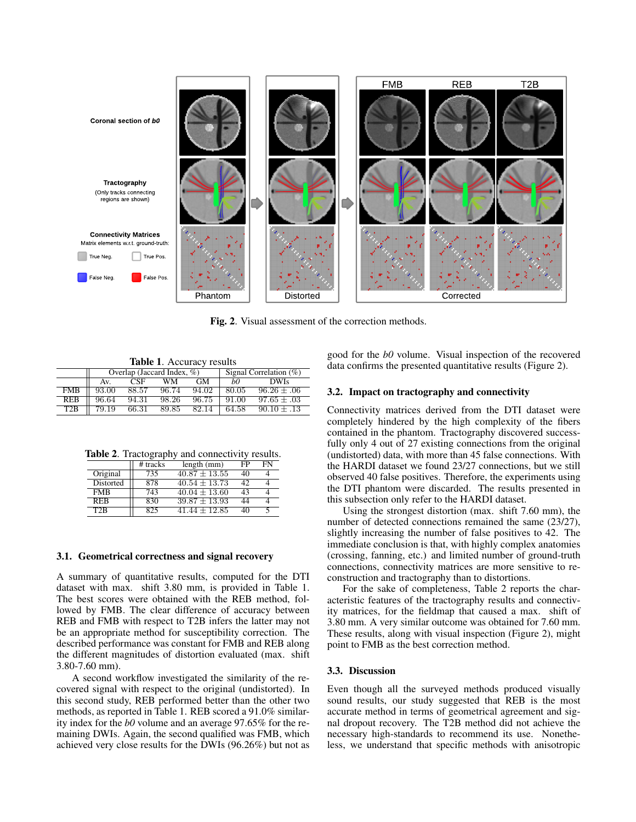

Fig. 2. Visual assessment of the correction methods.

**Table 1.** Accuracy results

|            | Overlap (Jaccard Index, $\%$ ) |       |       |       | Signal Correlation $(\%)$ |                 |
|------------|--------------------------------|-------|-------|-------|---------------------------|-----------------|
|            | Av.                            | CSE   | WМ    | GМ    | bO                        | <b>DWIs</b>     |
| <b>FMB</b> | 93.00                          | 88.57 | 96.74 | 94.02 | 80.05                     | $96.26 \pm .06$ |
| <b>REB</b> | 96.64                          | 94.31 | 98.26 | 96.75 | 91.00                     | $97.65 \pm .03$ |
| T2B        | $79.\overline{19}$             | 66.31 | 89.85 | 82.14 | 64.58                     | $90.10 \pm .13$ |

**Table 2.** Tractography and connectivity results.

|                  | # tracks | length (mm)       | FP | FN |
|------------------|----------|-------------------|----|----|
| Original         | 735      | $40.87 + 13.55$   | 40 |    |
| Distorted        | 878      | $40.54 + 13.73$   |    |    |
| <b>FMB</b>       | 743      | $40.04 \pm 13.60$ | 43 |    |
| <b>REB</b>       | 830      | $39.87 + 13.93$   | 44 |    |
| T <sub>2</sub> R | 825      | $41.44 + 12.85$   | 40 |    |

## 3.1. Geometrical correctness and signal recovery

A summary of quantitative results, computed for the DTI dataset with max. shift 3.80 mm, is provided in Table 1. The best scores were obtained with the REB method, followed by FMB. The clear difference of accuracy between REB and FMB with respect to T2B infers the latter may not be an appropriate method for susceptibility correction. The described performance was constant for FMB and REB along the different magnitudes of distortion evaluated (max. shift)  $3.80 - 7.60$  mm).

A second workflow investigated the similarity of the recovered signal with respect to the original (undistorted). In this second study, REB performed better than the other two methods, as reported in Table 1. REB scored a 91.0% similarity index for the  $b0$  volume and an average 97.65% for the remaining DWIs. Again, the second qualified was FMB, which achieved very close results for the DWIs (96.26%) but not as good for the  $b0$  volume. Visual inspection of the recovered data confirms the presented quantitative results (Figure 2).

#### 3.2. Impact on tractography and connectivity

Connectivity matrices derived from the DTI dataset were completely hindered by the high complexity of the fibers contained in the phantom. Tractography discovered successfully only 4 out of 27 existing connections from the original (undistorted) data, with more than 45 false connections. With the HARDI dataset we found 23/27 connections, but we still observed 40 false positives. Therefore, the experiments using the DTI phantom were discarded. The results presented in this subsection only refer to the HARDI dataset.

Using the strongest distortion (max. shift  $7.60$  mm), the number of detected connections remained the same (23/27), slightly increasing the number of false positives to 42. The immediate conclusion is that, with highly complex anatomies (crossing, fanning, etc.) and limited number of ground-truth connections, connectivity matrices are more sensitive to reconstruction and tractography than to distortions.

For the sake of completeness, Table 2 reports the characteristic features of the tractography results and connectivity matrices, for the fieldmap that caused a max. shift of 3.80 mm. A very similar outcome was obtained for 7.60 mm. These results, along with visual inspection (Figure 2), might point to FMB as the best correction method.

#### 3.3. Discussion

Even though all the surveyed methods produced visually sound results, our study suggested that REB is the most accurate method in terms of geometrical agreement and signal dropout recovery. The T2B method did not achieve the necessary high-standards to recommend its use. Nonetheless, we understand that specific methods with anisotropic